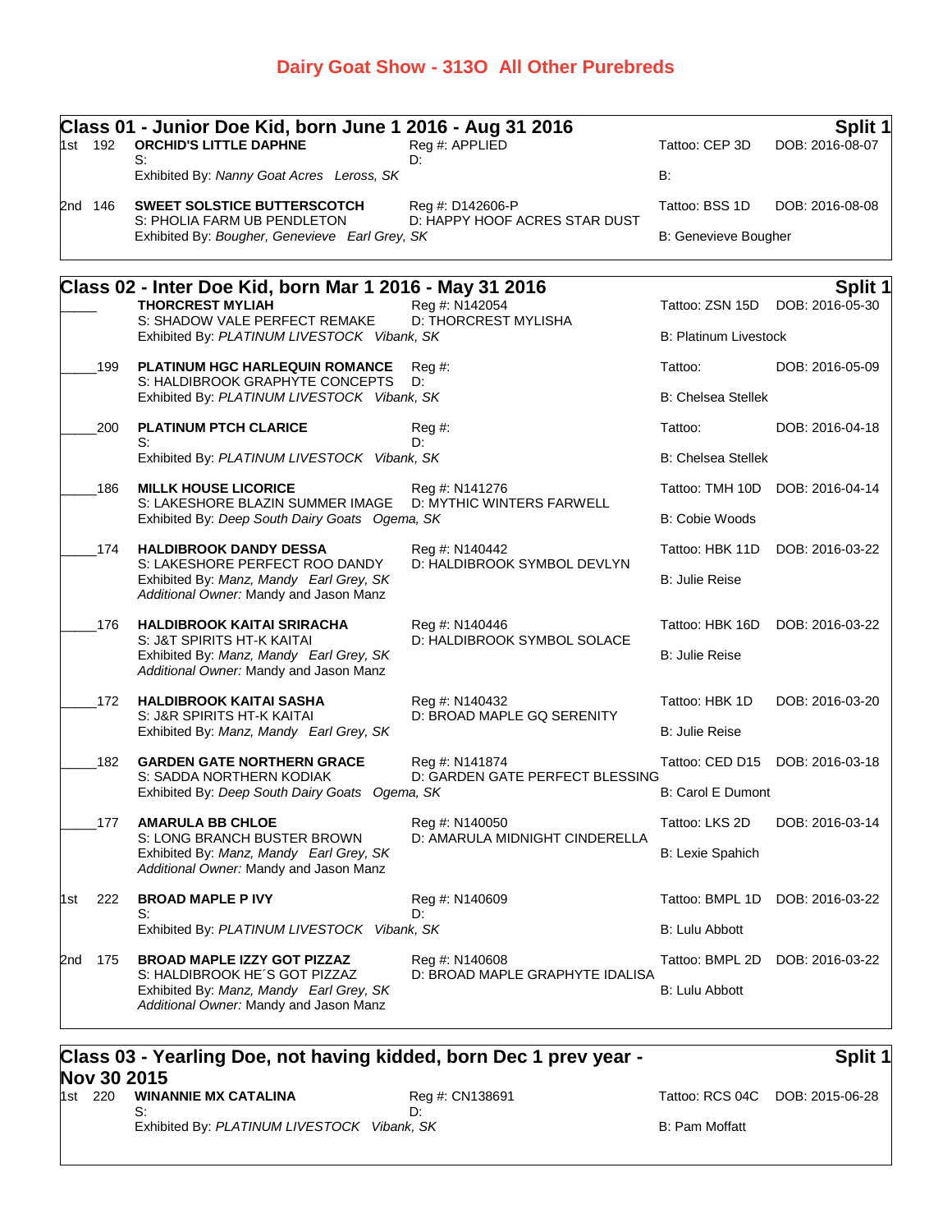### **Dairy Goat Show - 313O All Other Purebreds**

|     | 1st 192 | Class 01 - Junior Doe Kid, born June 1 2016 - Aug 31 2016<br><b>ORCHID'S LITTLE DAPHNE</b><br>S:                    | Reg #: APPLIED<br>D:                              | Tattoo: CEP 3D               | Split 1<br>DOB: 2016-08-07        |
|-----|---------|---------------------------------------------------------------------------------------------------------------------|---------------------------------------------------|------------------------------|-----------------------------------|
|     |         | Exhibited By: Nanny Goat Acres Leross, SK                                                                           |                                                   | <b>B:</b>                    |                                   |
|     | 2nd 146 | SWEET SOLSTICE BUTTERSCOTCH                                                                                         | Reg #: D142606-P                                  | Tattoo: BSS 1D               | DOB: 2016-08-08                   |
|     |         | S: PHOLIA FARM UB PENDLETON<br>Exhibited By: Bougher, Genevieve Earl Grey, SK                                       | D: HAPPY HOOF ACRES STAR DUST                     | <b>B: Genevieve Bougher</b>  |                                   |
|     |         |                                                                                                                     |                                                   |                              |                                   |
|     |         | Class 02 - Inter Doe Kid, born Mar 1 2016 - May 31 2016<br><b>THORCREST MYLIAH</b>                                  | Reg #: N142054                                    | Tattoo: ZSN 15D              | <b>Split 1</b><br>DOB: 2016-05-30 |
|     |         | S: SHADOW VALE PERFECT REMAKE<br>Exhibited By: PLATINUM LIVESTOCK Vibank, SK                                        | D: THORCREST MYLISHA                              | <b>B: Platinum Livestock</b> |                                   |
|     | 199     | <b>PLATINUM HGC HARLEQUIN ROMANCE</b><br>S: HALDIBROOK GRAPHYTE CONCEPTS                                            | $Reg \#$<br>D:                                    | Tattoo:                      | DOB: 2016-05-09                   |
|     |         | Exhibited By: PLATINUM LIVESTOCK Vibank, SK                                                                         |                                                   | <b>B: Chelsea Stellek</b>    |                                   |
|     | 200     | <b>PLATINUM PTCH CLARICE</b>                                                                                        | Reg #:                                            | Tattoo:                      | DOB: 2016-04-18                   |
|     |         | S:<br>Exhibited By: PLATINUM LIVESTOCK Vibank, SK                                                                   | D:                                                | <b>B: Chelsea Stellek</b>    |                                   |
|     | 186     | <b>MILLK HOUSE LICORICE</b>                                                                                         | Reg #: N141276                                    |                              | Tattoo: TMH 10D DOB: 2016-04-14   |
|     |         | S: LAKESHORE BLAZIN SUMMER IMAGE<br>Exhibited By: Deep South Dairy Goats Ogema, SK                                  | D: MYTHIC WINTERS FARWELL                         | B: Cobie Woods               |                                   |
|     | 174     | <b>HALDIBROOK DANDY DESSA</b>                                                                                       | Reg #: N140442                                    | Tattoo: HBK 11D              | DOB: 2016-03-22                   |
|     |         | S: LAKESHORE PERFECT ROO DANDY<br>Exhibited By: Manz, Mandy Earl Grey, SK<br>Additional Owner: Mandy and Jason Manz | D: HALDIBROOK SYMBOL DEVLYN                       | <b>B: Julie Reise</b>        |                                   |
|     | 176     | <b>HALDIBROOK KAITAI SRIRACHA</b><br>S: J&T SPIRITS HT-K KAITAI                                                     | Reg #: N140446<br>D: HALDIBROOK SYMBOL SOLACE     | Tattoo: HBK 16D              | DOB: 2016-03-22                   |
|     |         | Exhibited By: Manz, Mandy Earl Grey, SK<br>Additional Owner: Mandy and Jason Manz                                   |                                                   | <b>B: Julie Reise</b>        |                                   |
|     | 172     | <b>HALDIBROOK KAITAI SASHA</b><br>S: J&R SPIRITS HT-K KAITAI                                                        | Reg #: N140432<br>D: BROAD MAPLE GQ SERENITY      | Tattoo: HBK 1D               | DOB: 2016-03-20                   |
|     |         | Exhibited By: Manz, Mandy Earl Grey, SK                                                                             |                                                   | B: Julie Reise               |                                   |
|     | 182     | <b>GARDEN GATE NORTHERN GRACE</b><br>S: SADDA NORTHERN KODIAK                                                       | Reg #: N141874<br>D: GARDEN GATE PERFECT BLESSING |                              | Tattoo: CED D15 DOB: 2016-03-18   |
|     |         | Exhibited By: Deep South Dairy Goats Ogema, SK                                                                      |                                                   | <b>B: Carol E Dumont</b>     |                                   |
|     | 177     | <b>AMARULA BB CHLOE</b>                                                                                             | Reg #: N140050<br>D: AMARULA MIDNIGHT CINDERELLA  | Tattoo: LKS 2D               | DOB: 2016-03-14                   |
|     |         | S: LONG BRANCH BUSTER BROWN<br>Exhibited By: Manz, Mandy Earl Grey, SK<br>Additional Owner: Mandy and Jason Manz    |                                                   | B: Lexie Spahich             |                                   |
| 1st | 222     | <b>BROAD MAPLE P IVY</b><br>S:                                                                                      | Reg #: N140609<br>D:                              | Tattoo: BMPL 1D              | DOB: 2016-03-22                   |
|     |         | Exhibited By: PLATINUM LIVESTOCK Vibank, SK                                                                         |                                                   | B: Lulu Abbott               |                                   |
| 2nd | 175     | <b>BROAD MAPLE IZZY GOT PIZZAZ</b><br>S: HALDIBROOK HE'S GOT PIZZAZ                                                 | Reg #: N140608                                    | Tattoo: BMPL 2D              | DOB: 2016-03-22                   |
|     |         | Exhibited By: Manz, Mandy Earl Grey, SK<br>Additional Owner: Mandy and Jason Manz                                   | D: BROAD MAPLE GRAPHYTE IDALISA                   | <b>B: Lulu Abbott</b>        |                                   |
|     |         |                                                                                                                     |                                                   |                              |                                   |

#### **Class 03 - Yearling Doe, not having kidded, born Dec 1 prev year - Nov 30 2015**<br>1st 220 WINANNIE MX CATALINA 1st 220 **Reg #: CN138691** Tattoo: RCS 04C DOB: 2015-06-28 S: D:

## **Split 1**

Exhibited By: PLATINUM LIVESTOCK Vibank, SK B: Pam Moffatt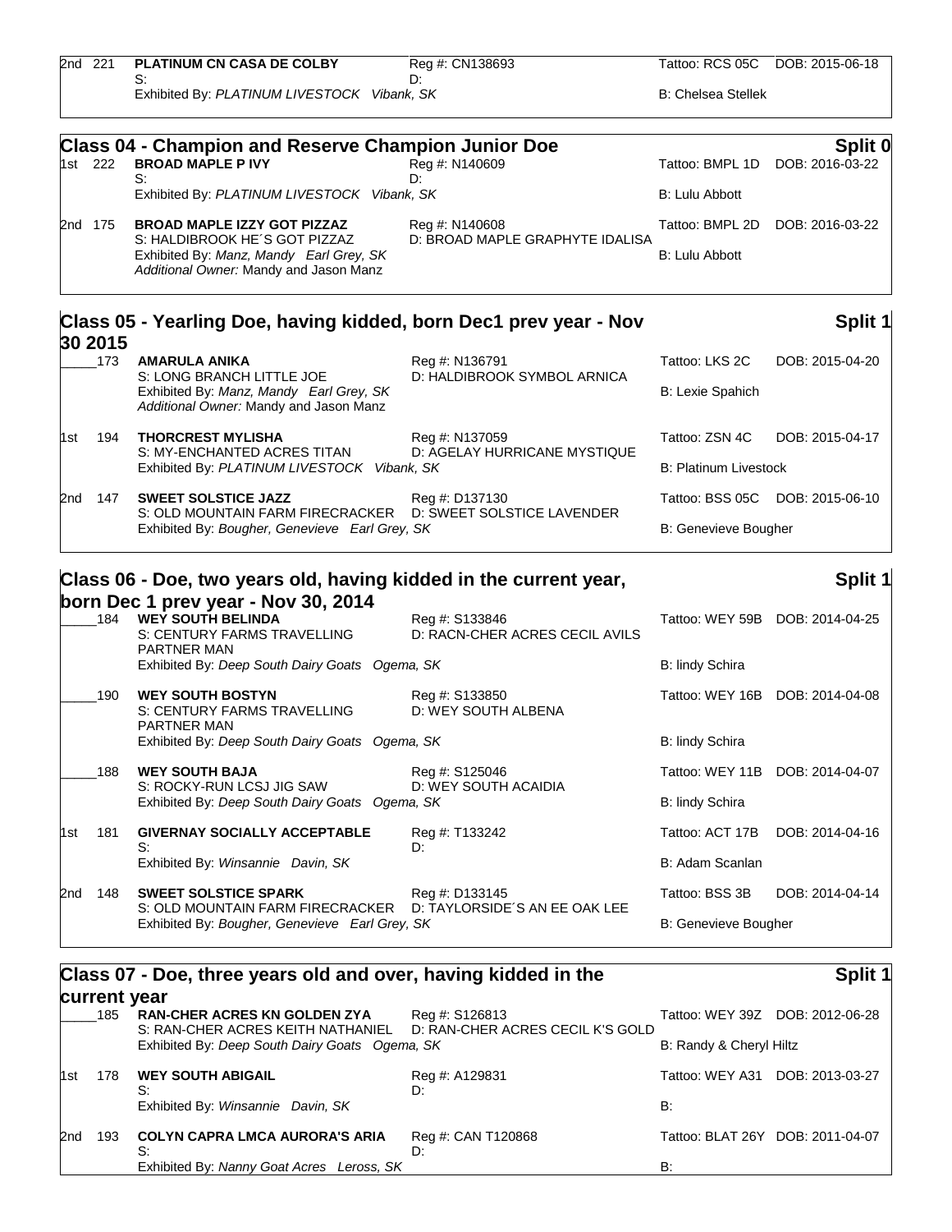| 2nd 221 |         | <b>PLATINUM CN CASA DE COLBY</b><br>S:                     | Reg #: CN138693<br>D∵ |                           | Tattoo: RCS 05C DOB: 2015-06-18 |
|---------|---------|------------------------------------------------------------|-----------------------|---------------------------|---------------------------------|
|         |         | Exhibited By: PLATINUM LIVESTOCK Vibank, SK                |                       | <b>B: Chelsea Stellek</b> |                                 |
|         |         | <b>Class 04 - Champion and Reserve Champion Junior Doe</b> |                       |                           | Split 0                         |
|         | 1st 222 | <b>BROAD MAPLE P IVY</b>                                   | Reg #: N140609        | Tattoo: BMPL 1D           | DOB: 2016-03-22                 |
|         |         |                                                            | D:                    |                           |                                 |

|            | Exhibited By: PLATINUM LIVESTOCK Vibank, SK                                       |                                                   | B: Lulu Abbott                  |  |
|------------|-----------------------------------------------------------------------------------|---------------------------------------------------|---------------------------------|--|
| 2nd<br>175 | BROAD MAPLE IZZY GOT PIZZAZ<br>S: HALDIBROOK HE'S GOT PIZZAZ                      | Reg #: N140608<br>D: BROAD MAPLE GRAPHYTE IDALISA | Tattoo: BMPL 2D DOB: 2016-03-22 |  |
|            | Exhibited By: Manz, Mandy Earl Grey, SK<br>Additional Owner: Mandy and Jason Manz |                                                   | B: Lulu Abbott                  |  |

| 30 2015 |     | Class 05 - Yearling Doe, having kidded, born Dec1 prev year - Nov                                                |                              |                              | Split 1                         |
|---------|-----|------------------------------------------------------------------------------------------------------------------|------------------------------|------------------------------|---------------------------------|
|         | 173 | <b>AMARULA ANIKA</b>                                                                                             | Reg #: N136791               | Tattoo: LKS 2C               | DOB: 2015-04-20                 |
|         |     | S: LONG BRANCH LITTLE JOE<br>Exhibited By: Manz, Mandy Earl Grey, SK<br>Additional Owner: Mandy and Jason Manz   | D: HALDIBROOK SYMBOL ARNICA  | <b>B: Lexie Spahich</b>      |                                 |
| 1st     | 194 | <b>THORCREST MYLISHA</b>                                                                                         | Reg #: N137059               | Tattoo: ZSN 4C               | DOB: 2015-04-17                 |
|         |     | S: MY-ENCHANTED ACRES TITAN<br>Exhibited By: PLATINUM LIVESTOCK Vibank, SK                                       | D: AGELAY HURRICANE MYSTIQUE | <b>B: Platinum Livestock</b> |                                 |
| 2nd     | 147 | <b>SWEET SOLSTICE JAZZ</b>                                                                                       | Reg #: D137130               |                              | Tattoo: BSS 05C DOB: 2015-06-10 |
|         |     | D: SWEET SOLSTICE LAVENDER<br>S: OLD MOUNTAIN FARM FIRECRACKER<br>Exhibited By: Bougher, Genevieve Earl Grey, SK |                              | <b>B: Genevieve Bougher</b>  |                                 |

# **Class 06 - Doe, two years old, having kidded in the current year,**

#### **born Dec 1 prev year - Nov 30, 2014** \_\_\_\_\_184 **WEY SOUTH BELINDA** Reg #: S133846 Tattoo: WEY 59B DOB: 2014-04-25 S: CENTURY FARMS TRAVELLING PARTNER MAN D: RACN-CHER ACRES CECIL AVILS Exhibited By: *Deep South Dairy Goats Ogema, SK* B: lindy Schira \_\_\_\_\_190 **WEY SOUTH BOSTYN** Reg #: S133850 Tattoo: WEY 16B DOB: 2014-04-08 S: CENTURY FARMS TRAVELLING PARTNER MAN D: WEY SOUTH ALBENA Exhibited By: *Deep South Dairy Goats Ogema, SK* B: lindy Schira \_\_\_\_\_188 **WEY SOUTH BAJA** Reg #: S125046 Tattoo: WEY 11B DOB: 2014-04-07 S: ROCKY-RUN LCSJ JIG SAW D: WEY SOUTH ACAIDIA Exhibited By: *Deep South Dairy Goats Ogema, SK* B: lindy Schira 1st 181 **GIVERNAY SOCIALLY ACCEPTABLE** Reg #: T133242 Tattoo: ACT 17B DOB: 2014-04-16 S: D: Exhibited By: *Winsannie Davin, SK* B: Adam Scanlan 2nd 148 **SWEET SOLSTICE SPARK** Reg #: D133145 Tattoo: BSS 3B DOB: 2014-04-14 S: OLD MOUNTAIN FARM FIRECRACKER D: TAYLORSIDE´S AN EE OAK LEE Exhibited By: *Bougher, Genevieve Earl Grey, SK* B: Genevieve Bougher

# **Class 07 - Doe, three years old and over, having kidded in the**

#### **current year** \_\_\_\_\_185 **RAN-CHER ACRES KN GOLDEN ZYA** Reg #: S126813 Tattoo: WEY 39Z DOB: 2012-06-28 S: RAN-CHER ACRES KEITH NATHANIEL D: RAN-CHER ACRES CECIL K'S GOLD Exhibited By: *Deep South Dairy Goats Ogema, SK* B: Randy & Cheryl Hiltz 1st 178 **WEY SOUTH ABIGAIL** Reg #: A129831 Tattoo: WEY A31 DOB: 2013-03-27 S: D: Exhibited By: *Winsannie Davin, SK* B: 2nd 193 **COLYN CAPRA LMCA AURORA'S ARIA** Reg #: CAN T120868 Tattoo: BLAT 26Y DOB: 2011-04-07 S: D: Exhibited By: *Nanny Goat Acres Leross, SK* B:

#### **Split 1**

**Split 1**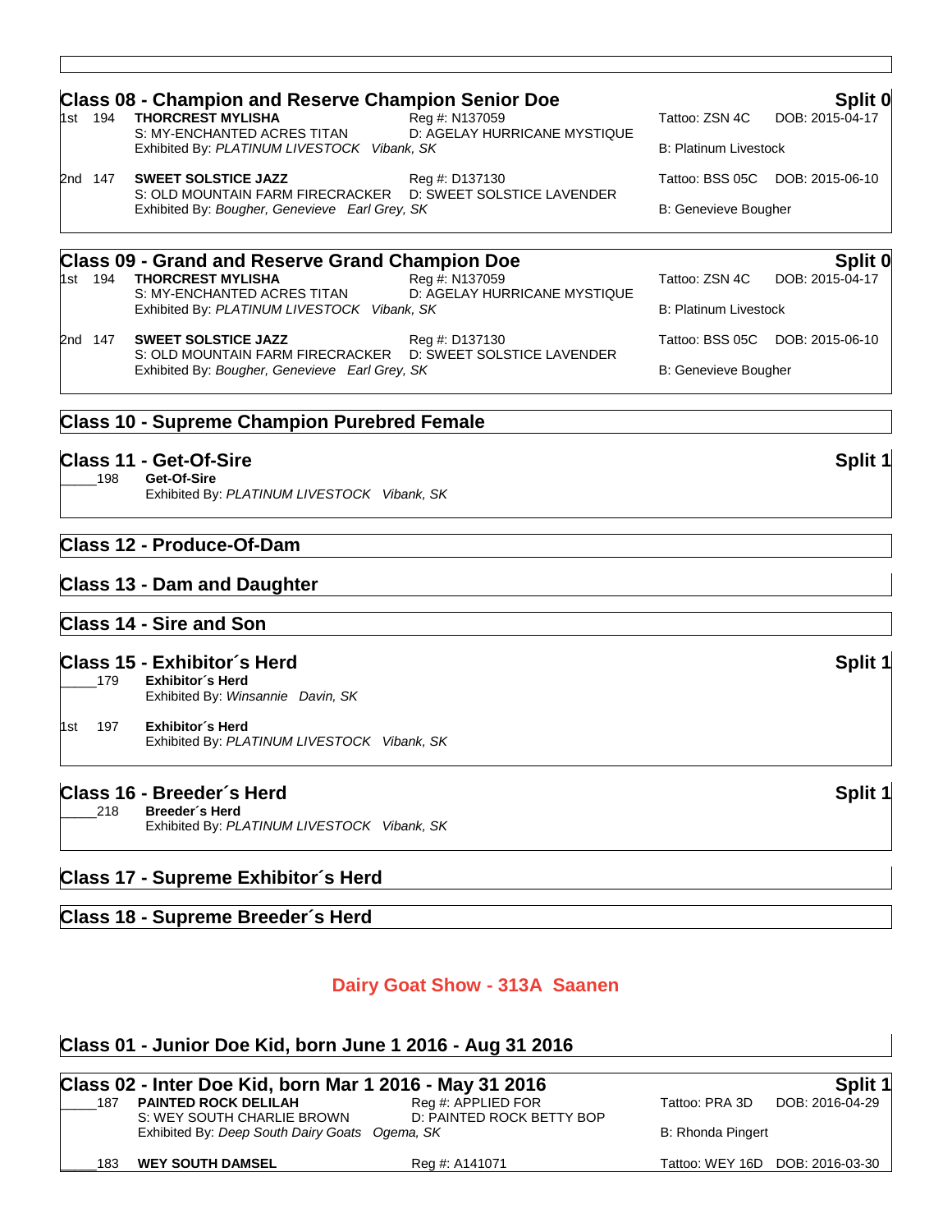|                                                                                                               | <b>Class 08 - Champion and Reserve Champion Senior Doe</b>                                                    |                                                |                              | Split 0                         |  |
|---------------------------------------------------------------------------------------------------------------|---------------------------------------------------------------------------------------------------------------|------------------------------------------------|------------------------------|---------------------------------|--|
| 1st 194                                                                                                       | <b>THORCREST MYLISHA</b>                                                                                      | Reg #: N137059                                 |                              | Tattoo: ZSN 4C DOB: 2015-04-17  |  |
|                                                                                                               | S: MY-ENCHANTED ACRES TITAN<br>Exhibited By: PLATINUM LIVESTOCK Vibank, SK                                    | D: AGELAY HURRICANE MYSTIQUE                   | <b>B: Platinum Livestock</b> |                                 |  |
| 2nd 147                                                                                                       | <b>SWEET SOLSTICE JAZZ</b>                                                                                    | Reg #: D137130                                 |                              | Tattoo: BSS 05C DOB: 2015-06-10 |  |
| S: OLD MOUNTAIN FARM FIRECRACKER D: SWEET SOLSTICE LAVENDER<br>Exhibited By: Bougher, Genevieve Earl Grey, SK |                                                                                                               |                                                | <b>B: Genevieve Bougher</b>  |                                 |  |
|                                                                                                               | <b>Class 09 - Grand and Reserve Grand Champion Doe</b>                                                        |                                                |                              | Split 0                         |  |
| 1st 194                                                                                                       | THORCREST MYLISHA<br>S: MY-ENCHANTED ACRES TITAN                                                              | Reg #: N137059<br>D: AGELAY HURRICANE MYSTIQUE | Tattoo: ZSN 4C               | DOB: 2015-04-17                 |  |
|                                                                                                               | Exhibited By: PLATINUM LIVESTOCK Vibank, SK                                                                   |                                                | <b>B: Platinum Livestock</b> |                                 |  |
| 2nd 147                                                                                                       | <b>SWEET SOLSTICE JAZZ</b>                                                                                    | Reg #: D137130                                 |                              | Tattoo: BSS 05C DOB: 2015-06-10 |  |
|                                                                                                               | S: OLD MOUNTAIN FARM FIRECRACKER D: SWEET SOLSTICE LAVENDER<br>Exhibited By: Bougher, Genevieve Earl Grey, SK |                                                | B: Genevieve Bougher         |                                 |  |

#### **Class 10 - Supreme Champion Purebred Female**

**Class 11 - Get-Of-Sire Split 1** \_\_\_\_\_198 **Get-Of-Sire** Exhibited By: *PLATINUM LIVESTOCK Vibank, SK*

#### **Class 12 - Produce-Of-Dam**

#### **Class 13 - Dam and Daughter**

#### **Class 14 - Sire and Son**

#### **Class 15 - Exhibitor´s Herd Split 1**

\_\_\_\_\_179 **Exhibitor´s Herd** Exhibited By: *Winsannie Davin, SK* 1st 197 **Exhibitor´s Herd** Exhibited By: *PLATINUM LIVESTOCK Vibank, SK*

**Class 16 - Breeder´s Herd Split 1** \_\_\_\_\_218 **Breeder´s Herd** Exhibited By: *PLATINUM LIVESTOCK Vibank, SK*

#### **Class 17 - Supreme Exhibitor´s Herd**

#### **Class 18 - Supreme Breeder´s Herd**

#### **Dairy Goat Show - 313A Saanen**

### **Class 01 - Junior Doe Kid, born June 1 2016 - Aug 31 2016 Class 02 - Inter Doe Kid, born Mar 1 2016 - May 31 2016 Split 1** \_187 **PAINTED ROCK DELILAH** Reg #: APPLIED FOR<br>S: WEY SOUTH CHARLIE BROWN D: PAINTED ROCK BETTY BOP S: WEY SOUTH CHARLIE BROWN Exhibited By: *Deep South Dairy Goats Ogema, SK* B: Rhonda Pingert \_\_\_\_\_183 **WEY SOUTH DAMSEL** Reg #: A141071 Tattoo: WEY 16D DOB: 2016-03-30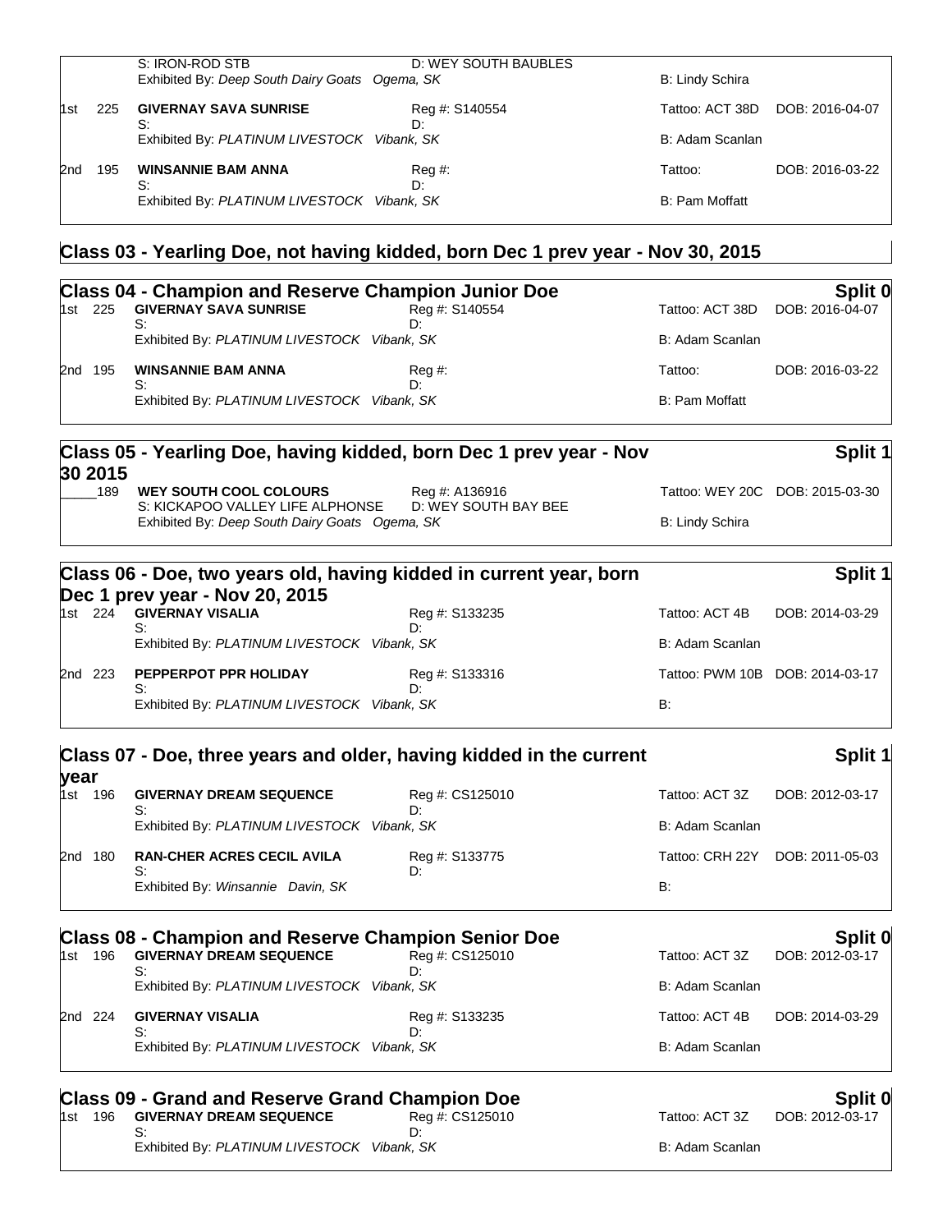|     |     | S: IRON-ROD STB<br>Exhibited By: Deep South Dairy Goats Ogema, SK | D: WEY SOUTH BAUBLES | B: Lindy Schira |                 |
|-----|-----|-------------------------------------------------------------------|----------------------|-----------------|-----------------|
| 1st | 225 | <b>GIVERNAY SAVA SUNRISE</b>                                      | Reg #: S140554       | Tattoo: ACT 38D | DOB: 2016-04-07 |
|     |     | S:<br>Exhibited By: PLATINUM LIVESTOCK Vibank, SK                 | D:                   | B: Adam Scanlan |                 |
| 2nd | 195 | <b>WINSANNIE BAM ANNA</b><br>S:                                   | Reg #:<br>D:         | Tattoo:         | DOB: 2016-03-22 |
|     |     | Exhibited By: PLATINUM LIVESTOCK Vibank, SK                       |                      | B: Pam Moffatt  |                 |

# **Class 03 - Yearling Doe, not having kidded, born Dec 1 prev year - Nov 30, 2015**

|      |       | <b>Class 04 - Champion and Reserve Champion Junior Doe</b> |                |                 | Split 0         |
|------|-------|------------------------------------------------------------|----------------|-----------------|-----------------|
| l1st | - 225 | <b>GIVERNAY SAVA SUNRISE</b>                               | Reg #: S140554 | Tattoo: ACT 38D | DOB: 2016-04-07 |
|      |       | S:<br>Exhibited By: PLATINUM LIVESTOCK Vibank, SK          | D:             | B: Adam Scanlan |                 |
| 2nd  | 195   | <b>WINSANNIE BAM ANNA</b>                                  | Reg #:         | Tattoo:         | DOB: 2016-03-22 |
|      |       | S:<br>Exhibited By: PLATINUM LIVESTOCK Vibank, SK          | η٠             | B: Pam Moffatt  |                 |
|      |       |                                                            |                |                 |                 |

#### **Class 05 - Yearling Doe, having kidded, born Dec 1 prev year - Nov 30 2015 Split 1** \_\_\_\_\_189 **WEY SOUTH COOL COLOURS** Reg #: A136916 Tattoo: WEY 20C DOB: 2015-03-30

| _________<br>S: KICKAPOO VALLEY LIFE ALPHONSE  | D: WEY SOUTH BAY BEE |                 |
|------------------------------------------------|----------------------|-----------------|
| Exhibited By: Deep South Dairy Goats Ogema, SK |                      | B: Lindy Schira |

|         |                                                   | Class 06 - Doe, two years old, having kidded in current year, born |                 | Split 1                         |
|---------|---------------------------------------------------|--------------------------------------------------------------------|-----------------|---------------------------------|
|         | Dec 1 prev year - Nov 20, 2015                    |                                                                    |                 |                                 |
| 1st 224 | <b>GIVERNAY VISALIA</b>                           | Reg #: S133235                                                     | Tattoo: ACT 4B  | DOB: 2014-03-29                 |
|         | S:<br>Exhibited By: PLATINUM LIVESTOCK Vibank, SK | Dη                                                                 | B: Adam Scanlan |                                 |
| 2nd 223 | PEPPERPOT PPR HOLIDAY<br>S:                       | Reg #: S133316<br>D٠                                               |                 | Tattoo: PWM 10B DOB: 2014-03-17 |
|         | Exhibited By: PLATINUM LIVESTOCK Vibank, SK       |                                                                    | B:              |                                 |

|                    | Class 07 - Doe, three years and older, having kidded in the current                          |                       |                 | Split 1                    |
|--------------------|----------------------------------------------------------------------------------------------|-----------------------|-----------------|----------------------------|
| vear<br>196<br>1st | <b>GIVERNAY DREAM SEQUENCE</b><br>S:                                                         | Reg #: CS125010<br>D. | Tattoo: ACT 3Z  | DOB: 2012-03-17            |
|                    | Exhibited By: PLATINUM LIVESTOCK Vibank, SK                                                  |                       | B: Adam Scanlan |                            |
| 2nd 180            | <b>RAN-CHER ACRES CECIL AVILA</b><br>S:                                                      | Reg #: S133775<br>D:  | Tattoo: CRH 22Y | DOB: 2011-05-03            |
|                    | Exhibited By: Winsannie Davin, SK                                                            |                       | B:              |                            |
|                    |                                                                                              |                       |                 |                            |
| 196<br>1st         | <b>Class 08 - Champion and Reserve Champion Senior Doe</b><br><b>GIVERNAY DREAM SEQUENCE</b> | Reg #: CS125010       | Tattoo: ACT 3Z  | Split 0<br>DOB: 2012-03-17 |
|                    | S:<br>Exhibited By: PLATINUM LIVESTOCK Vibank, SK                                            | D٠                    | B: Adam Scanlan |                            |
| 224<br>2nd         | <b>GIVERNAY VISALIA</b><br>S:                                                                | Reg #: S133235<br>Dτ  | Tattoo: ACT 4B  | DOB: 2014-03-29            |

|  |         | <b>Class 09 - Grand and Reserve Grand Champion Doe</b> |                 | <b>SDIIT L</b>  |                 |  |
|--|---------|--------------------------------------------------------|-----------------|-----------------|-----------------|--|
|  | 1st 196 | <b>GIVERNAY DREAM SEQUENCE</b>                         | Reg #: CS125010 | Tattoo: ACT 3Z  | DOB: 2012-03-17 |  |
|  |         |                                                        |                 |                 |                 |  |
|  |         | Exhibited By: PLATINUM LIVESTOCK Vibank, SK            |                 | B: Adam Scanlan |                 |  |
|  |         |                                                        |                 |                 |                 |  |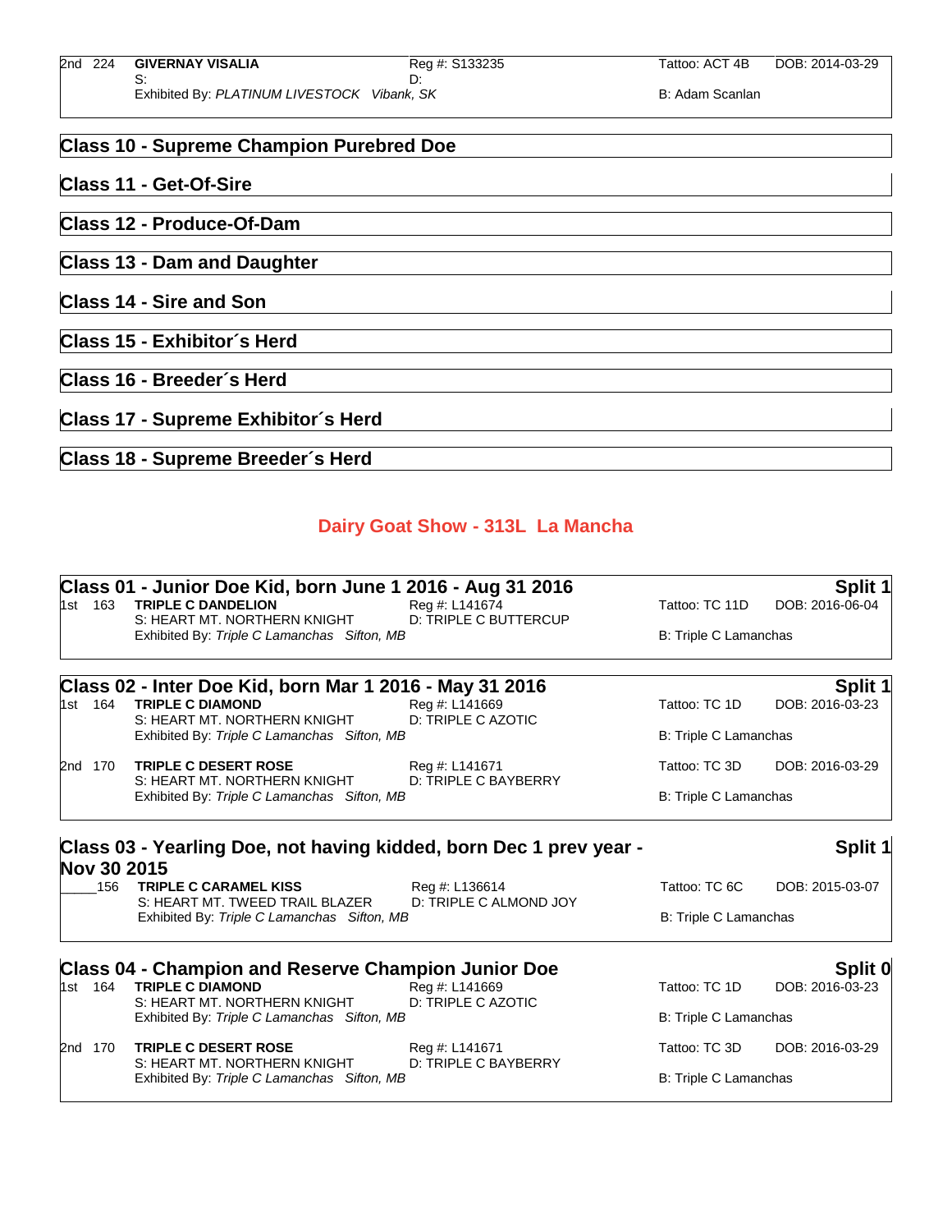#### **Class 10 - Supreme Champion Purebred Doe**

#### **Class 11 - Get-Of-Sire**

**Class 12 - Produce-Of-Dam**

**Class 13 - Dam and Daughter**

**Class 14 - Sire and Son**

**Class 15 - Exhibitor´s Herd**

**Class 16 - Breeder´s Herd**

## **Class 17 - Supreme Exhibitor´s Herd**

#### **Class 18 - Supreme Breeder´s Herd**

#### **Dairy Goat Show - 313L La Mancha**

|             | Class 01 - Junior Doe Kid, born June 1 2016 - Aug 31 2016                                           |                                          |                       | Split 1               |  |
|-------------|-----------------------------------------------------------------------------------------------------|------------------------------------------|-----------------------|-----------------------|--|
|             | 1st 163 TRIPLE C DANDELION                                                                          | Reg #: L141674                           | Tattoo: TC 11D        | DOB: 2016-06-04       |  |
|             | S: HEART MT. NORTHERN KNIGHT<br>Exhibited By: Triple C Lamanchas Sifton, MB                         | <b>D: TRIPLE C BUTTERCUP</b>             | B: Triple C Lamanchas |                       |  |
|             | Class 02 - Inter Doe Kid, born Mar 1 2016 - May 31 2016                                             |                                          |                       | Split 1               |  |
| 1st 164     | <b>TRIPLE C DIAMOND</b><br>S: HEART MT. NORTHERN KNIGHT                                             | Reg #: L141669<br>D: TRIPLE C AZOTIC     | Tattoo: TC 1D         | DOB: 2016-03-23       |  |
|             | Exhibited By: Triple C Lamanchas Sifton, MB                                                         |                                          | B: Triple C Lamanchas |                       |  |
| 2nd 170     | <b>TRIPLE C DESERT ROSE</b>                                                                         | Reg #: L141671                           | Tattoo: TC 3D         | DOB: 2016-03-29       |  |
|             | S: HEART MT, NORTHERN KNIGHT<br>D: TRIPLE C BAYBERRY<br>Exhibited By: Triple C Lamanchas Sifton, MB |                                          |                       | B: Triple C Lamanchas |  |
| Nov 30 2015 | Class 03 - Yearling Doe, not having kidded, born Dec 1 prev year -                                  |                                          |                       | Split 1               |  |
| 156         | <b>TRIPLE C CARAMEL KISS</b><br>S: HEART MT, TWEED TRAIL BLAZER                                     | Reg #: L136614<br>D: TRIPLE C ALMOND JOY | Tattoo: TC 6C         | DOB: 2015-03-07       |  |
|             | Exhibited By: Triple C Lamanchas Sifton, MB                                                         |                                          | B: Triple C Lamanchas |                       |  |
|             | <b>Class 04 - Champion and Reserve Champion Junior Doe</b>                                          |                                          |                       | Split 0               |  |
| 1st 164     | <b>TRIPLE C DIAMOND</b><br>S: HEART MT, NORTHERN KNIGHT                                             | Reg #: L141669<br>D: TRIPLE C AZOTIC     | Tattoo: TC 1D         | DOB: 2016-03-23       |  |
|             | Exhibited By: Triple C Lamanchas Sifton, MB                                                         |                                          | B: Triple C Lamanchas |                       |  |
| 2nd 170     | <b>TRIPLE C DESERT ROSE</b><br>S: HEART MT. NORTHERN KNIGHT                                         | Reg #: L141671<br>D: TRIPLE C BAYBERRY   | Tattoo: TC 3D         | DOB: 2016-03-29       |  |
|             | Exhibited By: Triple C Lamanchas Sifton, MB                                                         |                                          | B: Triple C Lamanchas |                       |  |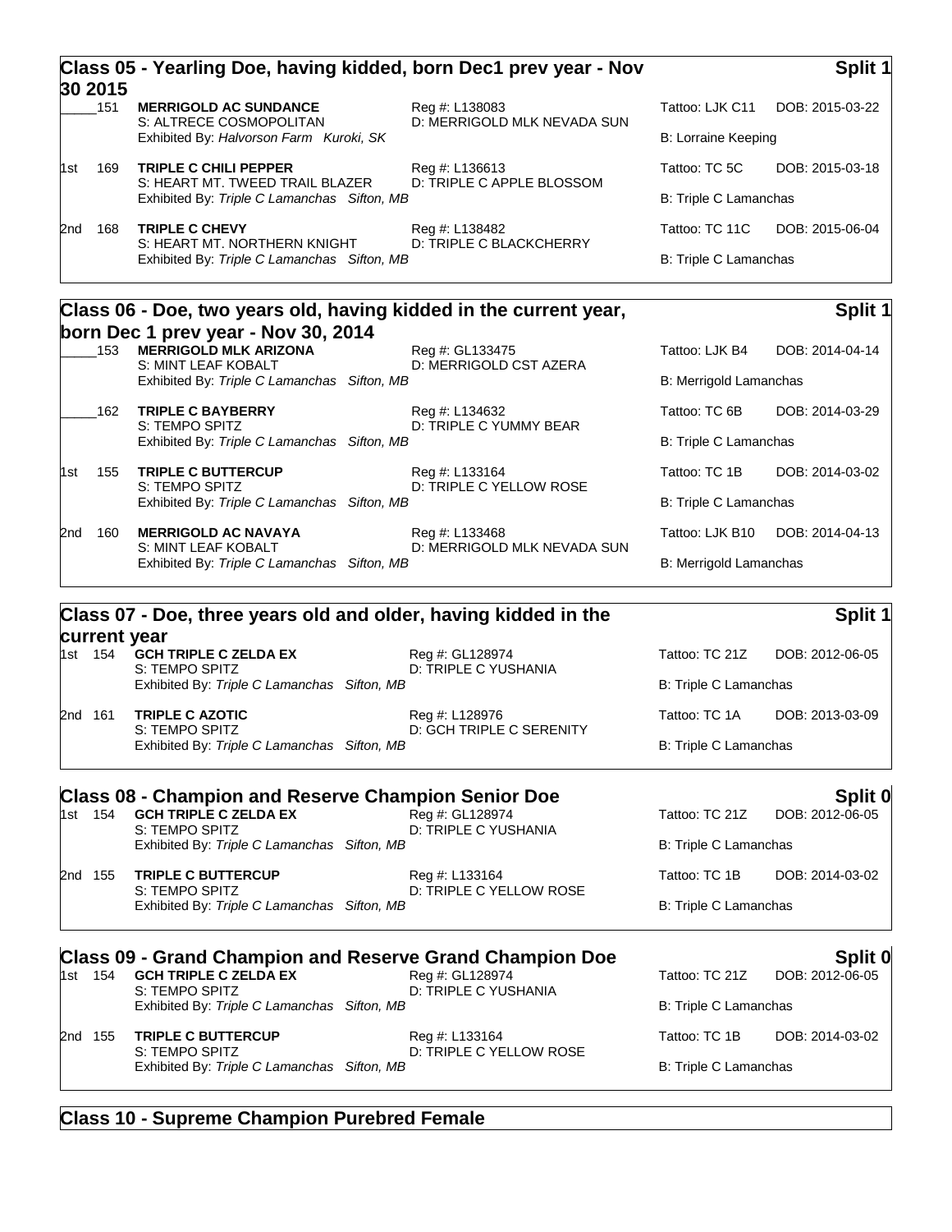|     | 30 2015                                                                    |                                                                             | Class 05 - Yearling Doe, having kidded, born Dec1 prev year - Nov |                               | Split 1                      |  |
|-----|----------------------------------------------------------------------------|-----------------------------------------------------------------------------|-------------------------------------------------------------------|-------------------------------|------------------------------|--|
|     | 151                                                                        | <b>MERRIGOLD AC SUNDANCE</b><br>S: ALTRECE COSMOPOLITAN                     | Reg #: L138083<br>D: MERRIGOLD MLK NEVADA SUN                     | Tattoo: LJK C11               | DOB: 2015-03-22              |  |
|     |                                                                            | Exhibited By: Halvorson Farm Kuroki, SK                                     |                                                                   | B: Lorraine Keeping           |                              |  |
| 1st | 169                                                                        | <b>TRIPLE C CHILI PEPPER</b><br>S: HEART MT. TWEED TRAIL BLAZER             | Reg #: L136613<br>D: TRIPLE C APPLE BLOSSOM                       | Tattoo: TC 5C                 | DOB: 2015-03-18              |  |
|     |                                                                            | Exhibited By: Triple C Lamanchas Sifton, MB                                 |                                                                   |                               | <b>B: Triple C Lamanchas</b> |  |
| 2nd | 168                                                                        | <b>TRIPLE C CHEVY</b>                                                       | Reg #: L138482                                                    | Tattoo: TC 11C                | DOB: 2015-06-04              |  |
|     |                                                                            | S: HEART MT, NORTHERN KNIGHT<br>Exhibited By: Triple C Lamanchas Sifton, MB | D: TRIPLE C BLACKCHERRY                                           | <b>B: Triple C Lamanchas</b>  |                              |  |
|     |                                                                            | Class 06 - Doe, two years old, having kidded in the current year,           |                                                                   |                               | Split 1                      |  |
|     | born Dec 1 prev year - Nov 30, 2014<br><b>MERRIGOLD MLK ARIZONA</b><br>153 |                                                                             | Reg #: GL133475                                                   | Tattoo: LJK B4                | DOB: 2014-04-14              |  |
|     |                                                                            | S: MINT LEAF KOBALT<br>Exhibited By: Triple C Lamanchas Sifton, MB          | D: MERRIGOLD CST AZERA                                            | <b>B: Merrigold Lamanchas</b> |                              |  |
|     | 162                                                                        | <b>TRIPLE C BAYBERRY</b>                                                    | Reg #: L134632                                                    | Tattoo: TC 6B                 | DOB: 2014-03-29              |  |
|     |                                                                            | S: TEMPO SPITZ<br>Exhibited By: Triple C Lamanchas Sifton, MB               | D: TRIPLE C YUMMY BEAR                                            | B: Triple C Lamanchas         |                              |  |
| 1st | 155                                                                        | <b>TRIPLE C BUTTERCUP</b>                                                   | Reg #: L133164                                                    | Tattoo: TC 1B                 | DOB: 2014-03-02              |  |
|     |                                                                            | S: TEMPO SPITZ<br>Exhibited By: Triple C Lamanchas Sifton, MB               | D: TRIPLE C YELLOW ROSE                                           | <b>B: Triple C Lamanchas</b>  |                              |  |
| 2nd | 160                                                                        | <b>MERRIGOLD AC NAVAYA</b>                                                  | Reg #: L133468                                                    | Tattoo: LJK B10               | DOB: 2014-04-13              |  |
|     |                                                                            | S: MINT LEAF KOBALT<br>Exhibited By: Triple C Lamanchas Sifton, MB          | D: MERRIGOLD MLK NEVADA SUN                                       | B: Merrigold Lamanchas        |                              |  |

## **Class 07 - Doe, three years old and older, having kidded in the**

#### **current year**

**Split 1**

|         |         | VALLVIIL ȚUML                                  |                                            |                       |                 |
|---------|---------|------------------------------------------------|--------------------------------------------|-----------------------|-----------------|
|         | 1st 154 | <b>GCH TRIPLE C ZELDA EX</b><br>S: TEMPO SPITZ | Reg #: GL128974<br>D: TRIPLE C YUSHANIA    | Tattoo: TC 21Z        | DOB: 2012-06-05 |
|         |         | Exhibited By: Triple C Lamanchas Sifton, MB    |                                            | B: Triple C Lamanchas |                 |
| 2nd 161 |         | <b>TRIPLE C AZOTIC</b><br>S: TEMPO SPITZ       | Reg #: L128976<br>D: GCH TRIPLE C SERENITY | Tattoo: TC 1A         | DOB: 2013-03-09 |
|         |         | Exhibited By: Triple C Lamanchas Sifton, MB    |                                            | B: Triple C Lamanchas |                 |
|         |         |                                                |                                            |                       |                 |

# **Class 08 - Champion and Reserve Champion Senior Doe Split 0**<br>1st 154 GCH TRIPLE C ZELDA EX Reg #: GL128974 Tattoo: TC 21Z DOB: 2012-06-05

1st 154 **GCH TRIPLE C ZELDA EX**<br>S: TEMPO SPITZ D: TRIPLE C YUSHANIA Exhibited By: Triple C Lamanchas Sifton, MB B: Triple C Lamanchas Sifton, MB

2nd 155 **TRIPLE C BUTTERCUP** Reg #: L133164 Tattoo: TC 1B DOB: 2014-03-02 S: TEMPO SPITZ D: TRIPLE C YELLOW ROSE Exhibited By: Triple C Lamanchas Sifton, MB B: Triple C Lamanchas Sifton, MB

# **Class 09 - Grand Champion and Reserve Grand Champion Doe Split 0**

**GCH TRIPLE C ZELDA EX**<br>S: TEMPO SPITZ

D: TRIPLE C YUSHANIA

2nd 155 **TRIPLE C BUTTERCUP** Reg #: L133164 Tattoo: TC 1B DOB: 2014-03-02 Exhibited By: Triple C Lamanchas Sifton, MB B: Triple C Lamanchas Sifton, MB

S: TEMPO SPITZ D: TRIPLE C YELLOW ROSE

Exhibited By: Triple C Lamanchas Sifton, MB B: Triple C Lamanchas

### **Class 10 - Supreme Champion Purebred Female**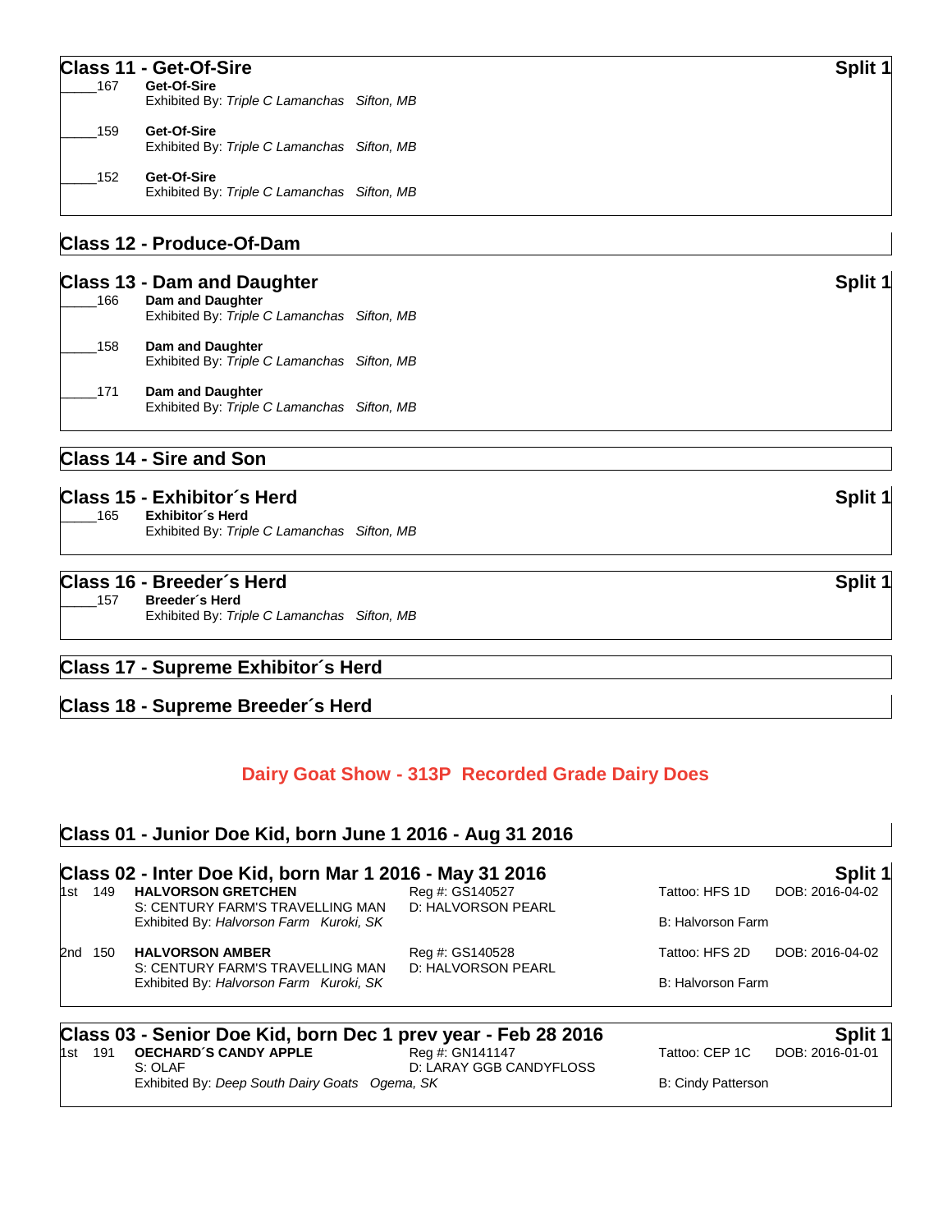#### **Class 11 - Get-Of-Sire Split 1**

| 167 | Get-Of-Sire<br>Exhibited By: Triple C Lamanchas Sifton, MB |  |
|-----|------------------------------------------------------------|--|
| 159 | Get-Of-Sire<br>Exhibited By: Triple C Lamanchas Sifton, MB |  |
| 152 | Get-Of-Sire<br>Exhibited By: Triple C Lamanchas Sifton, MB |  |

#### **Class 12 - Produce-Of-Dam**

#### **Class 13 - Dam and Daughter Split 1 Split 1 Split 1 Split 1 Split 1 Split 1 Split 1 Split 1 Split 1 Split 1 Split 1 Split 1 Split 1 Split 1 Split 1 Split 1 Split 1 Split 1 Split 1 S**

| 166 | Dam and Daughter<br>Exhibited By: Triple C Lamanchas Sifton, MB |  |
|-----|-----------------------------------------------------------------|--|
| 158 | Dam and Daughter<br>Exhibited By: Triple C Lamanchas Sifton, MB |  |
| 171 | Dam and Daughter<br>Exhibited By: Triple C Lamanchas Sifton, MB |  |

### **Class 14 - Sire and Son**

| Class 15 - Exhibitor's Herd                                            | Split 1 |
|------------------------------------------------------------------------|---------|
| Exhibitor´s Herd<br>165<br>Exhibited By: Triple C Lamanchas Sifton, MB |         |

#### **Class 16 - Breeder´s Herd Split 1**

\_\_\_\_\_157 **Breeder´s Herd** Exhibited By: *Triple C Lamanchas Sifton, MB*

#### **Class 17 - Supreme Exhibitor´s Herd**

#### **Class 18 - Supreme Breeder´s Herd**

#### **Dairy Goat Show - 313P Recorded Grade Dairy Does**

#### **Class 01 - Junior Doe Kid, born June 1 2016 - Aug 31 2016**

# **Class 02 - Inter Doe Kid, born Mar 1 2016 - May 31 2016 Split 1**

**HALVORSON GRETCHEN** S: CENTURY FARM'S TRAVELLING MAN D: HALVORSON PEARL Exhibited By: *Halvorson Farm Kuroki, SK* B: Halvorson Farm B: Halvorson Farm

2nd 150 **HALVORSON AMBER** Reg #: GS140528 Tattoo: HFS 2D DOB: 2016-04-02 S: CENTURY FARM'S TRAVELLING MAN D: HALVORSON PEARL

Exhibited By: *Halvorson Farm Kuroki, SK* B: Halvorson Farm B: Halvorson Farm

**Class 03 - Senior Doe Kid, born Dec 1 prev year - Feb 28 2016 Split 1 Split 1 Instead of the Split 1 Split 1 Split 1 Instead of the Reg #: GN141147 Split 1 Split 1 Instead of the Split 1 CEP 10 DOB:** 

**OECHARD´S CANDY APPLE**<br>S: OLAF D: LARAY GGB CANDYFLOSS Exhibited By: *Deep South Dairy Goats Ogema, SK* B: Cindy Patterson